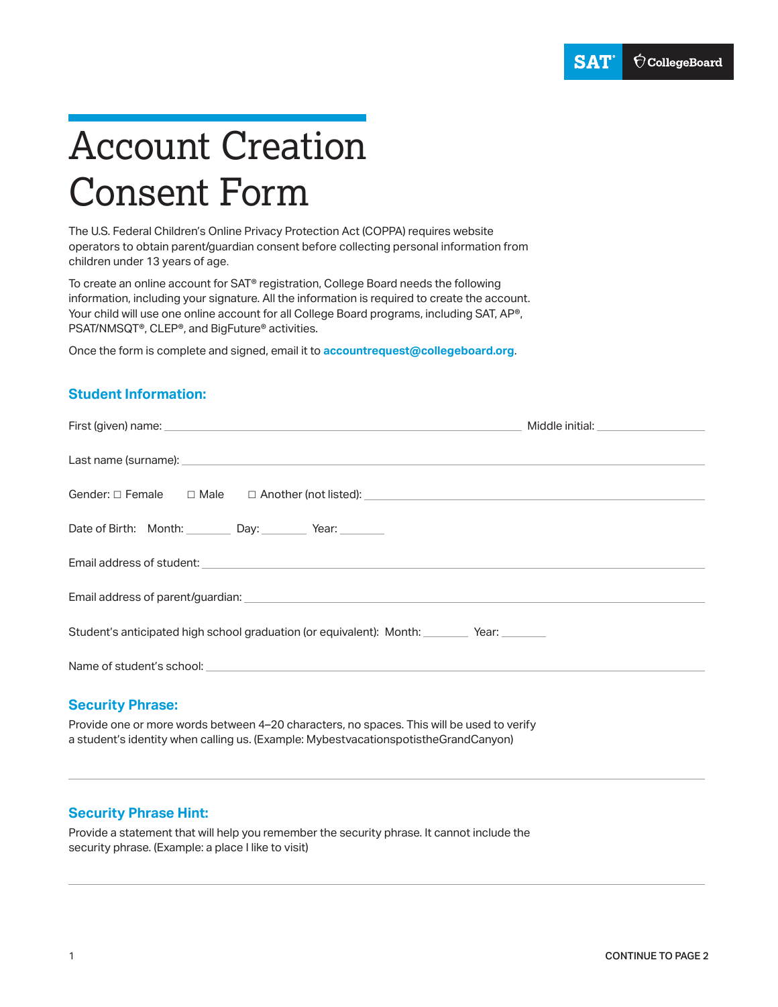# Account Creation Consent Form

The U.S. Federal Children's Online Privacy Protection Act (COPPA) requires website operators to obtain parent/guardian consent before collecting personal information from children under 13 years of age.

To create an online account for SAT® registration, College Board needs the following information, including your signature. All the information is required to create the account. Your child will use one online account for all College Board programs, including SAT, AP®, PSAT/NMSQT®, CLEP®, and BigFuture® activities.

Once the form is complete and signed, email it to **[accountrequest@collegeboard.org](mailto:accountrequest@collegeboard.org)**.

## **Student Information:**

| Date of Birth: Month: Day: Vear:                                                 |  |  |
|----------------------------------------------------------------------------------|--|--|
|                                                                                  |  |  |
|                                                                                  |  |  |
| Student's anticipated high school graduation (or equivalent): Month: Year: Year: |  |  |
|                                                                                  |  |  |
|                                                                                  |  |  |

#### **Security Phrase:**

Provide one or more words between 4–20 characters, no spaces. This will be used to verify a student's identity when calling us. (Example: MybestvacationspotistheGrandCanyon)

## **Security Phrase Hint:**

Provide a statement that will help you remember the security phrase. It cannot include the security phrase. (Example: a place I like to visit)